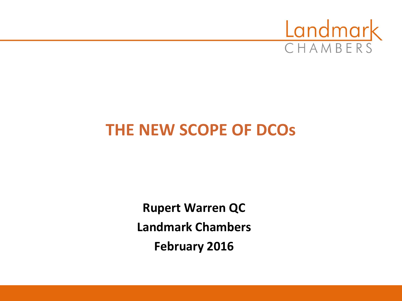

## **THE NEW SCOPE OF DCOs**

**Rupert Warren QC Landmark Chambers February 2016**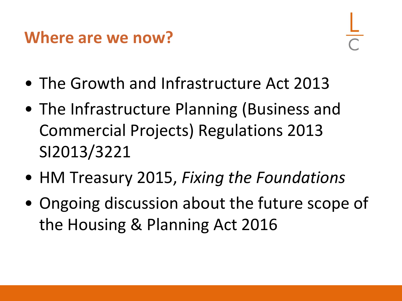#### **Where are we now?**

- The Growth and Infrastructure Act 2013
- The Infrastructure Planning (Business and Commercial Projects) Regulations 2013 SI2013/3221
- HM Treasury 2015, *Fixing the Foundations*
- Ongoing discussion about the future scope of the Housing & Planning Act 2016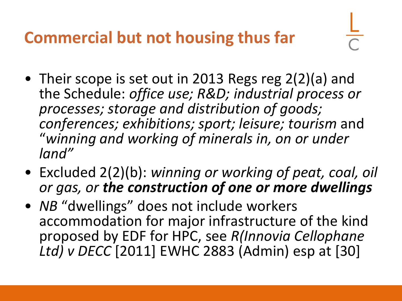## **Commercial but not housing thus far**

- 
- Their scope is set out in 2013 Regs reg 2(2)(a) and the Schedule: *office use; R&D; industrial process or processes; storage and distribution of goods; conferences; exhibitions; sport; leisure; tourism* and "*winning and working of minerals in, on or under land"*
- Excluded 2(2)(b): *winning or working of peat, coal, oil or gas, or the construction of one or more dwellings*
- *NB* "dwellings" does not include workers accommodation for major infrastructure of the kind proposed by EDF for HPC, see *R(Innovia Cellophane Ltd) v DECC* [2011] EWHC 2883 (Admin) esp at [30]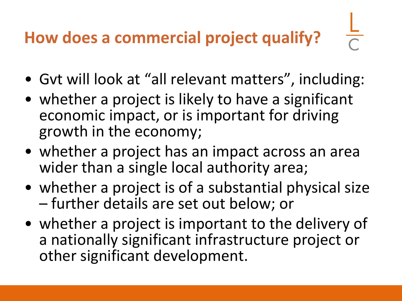## **How does a commercial project qualify?**

- Gvt will look at "all relevant matters", including:
- whether a project is likely to have a significant economic impact, or is important for driving growth in the economy;
- whether a project has an impact across an area wider than a single local authority area;
- whether a project is of a substantial physical size – further details are set out below; or
- whether a project is important to the delivery of a nationally significant infrastructure project or other significant development.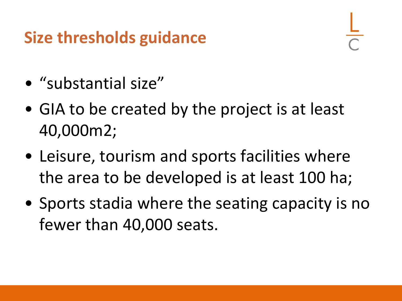## **Size thresholds guidance**

- "substantial size"
- GIA to be created by the project is at least 40,000m2;
- Leisure, tourism and sports facilities where the area to be developed is at least 100 ha;
- Sports stadia where the seating capacity is no fewer than 40,000 seats.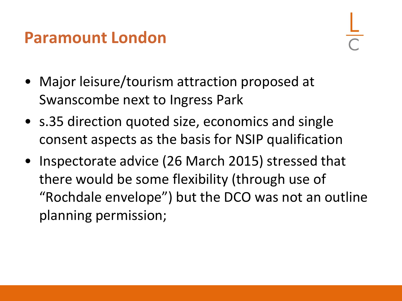#### **Paramount London**

- Major leisure/tourism attraction proposed at Swanscombe next to Ingress Park
- s.35 direction quoted size, economics and single consent aspects as the basis for NSIP qualification
- Inspectorate advice (26 March 2015) stressed that there would be some flexibility (through use of "Rochdale envelope") but the DCO was not an outline planning permission;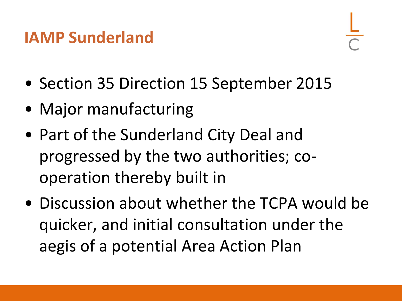### **IAMP Sunderland**

- Section 35 Direction 15 September 2015
- Major manufacturing
- Part of the Sunderland City Deal and progressed by the two authorities; cooperation thereby built in
- Discussion about whether the TCPA would be quicker, and initial consultation under the aegis of a potential Area Action Plan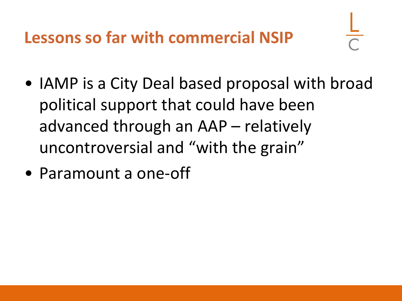**Lessons so far with commercial NSIP**

- IAMP is a City Deal based proposal with broad political support that could have been advanced through an AAP – relatively uncontroversial and "with the grain"
- Paramount a one-off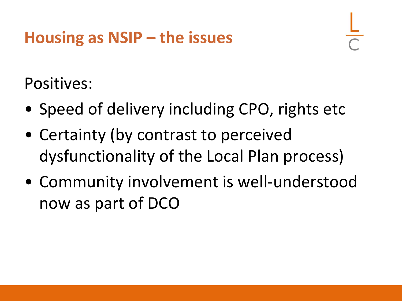Positives:

- Speed of delivery including CPO, rights etc
- Certainty (by contrast to perceived dysfunctionality of the Local Plan process)
- Community involvement is well-understood now as part of DCO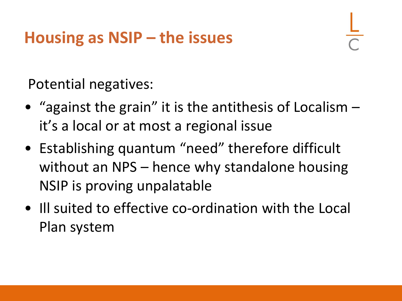Potential negatives:

- "against the grain" it is the antithesis of Localism it's a local or at most a regional issue
- Establishing quantum "need" therefore difficult without an NPS – hence why standalone housing NSIP is proving unpalatable
- Ill suited to effective co-ordination with the Local Plan system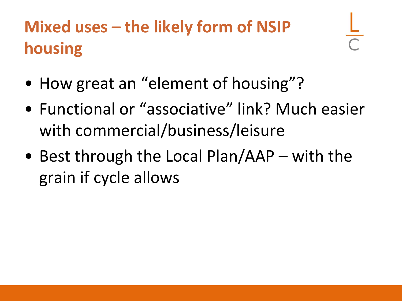# **Mixed uses – the likely form of NSIP housing**

- How great an "element of housing"?
- Functional or "associative" link? Much easier with commercial/business/leisure
- Best through the Local Plan/AAP with the grain if cycle allows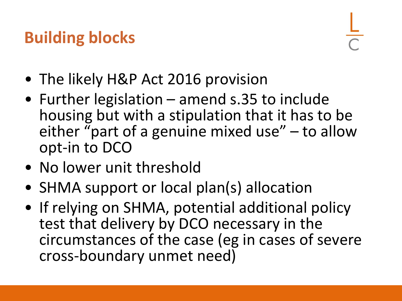## **Building blocks**

- The likely H&P Act 2016 provision
- Further legislation amend s.35 to include housing but with a stipulation that it has to be either "part of a genuine mixed use"  $-$  to allow opt-in to DCO
- No lower unit threshold
- SHMA support or local plan(s) allocation
- If relying on SHMA, potential additional policy test that delivery by DCO necessary in the circumstances of the case (eg in cases of severe cross-boundary unmet need)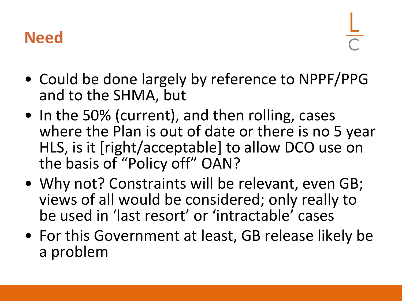## **Need**

- Could be done largely by reference to NPPF/PPG and to the SHMA, but
- In the 50% (current), and then rolling, cases where the Plan is out of date or there is no 5 year HLS, is it [right/acceptable] to allow DCO use on the basis of "Policy off" OAN?
- Why not? Constraints will be relevant, even GB; views of all would be considered; only really to be used in 'last resort' or 'intractable' cases
- For this Government at least, GB release likely be a problem